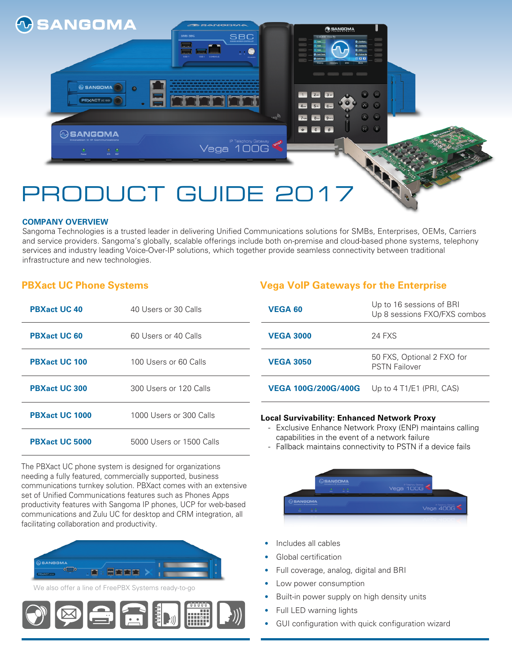

 $\circledcirc$  SANGOMA **PBXACT** UC 1009

**@SANGOMA** 



#### **COMPANY OVERVIEW**

Sangoma Technologies is a trusted leader in delivering Unified Communications solutions for SMBs, Enterprises, OEMs, Carriers and service providers. Sangoma's globally, scalable offerings include both on-premise and cloud-based phone systems, telephony services and industry leading Voice-Over-IP solutions, which together provide seamless connectivity between traditional infrastructure and new technologies.

Vega 100G

#### **PBXact UC Phone Systems**

| <b>PBXact UC 40</b>   | 40 Users or 30 Calls     |  |
|-----------------------|--------------------------|--|
| <b>PBXact UC 60</b>   | 60 Users or 40 Calls     |  |
| <b>PBXact UC 100</b>  | 100 Users or 60 Calls    |  |
| <b>PBXact UC 300</b>  | 300 Users or 120 Calls   |  |
| <b>PBXact UC 1000</b> | 1000 Users or 300 Calls  |  |
| <b>PBXact UC 5000</b> | 5000 Users or 1500 Calls |  |

The PBXact UC phone system is designed for organizations needing a fully featured, commercially supported, business communications turnkey solution. PBXact comes with an extensive set of Unified Communications features such as Phones Apps productivity features with Sangoma IP phones, UCP for web-based communications and Zulu UC for desktop and CRM integration, all facilitating collaboration and productivity.



We also offer a line of FreePBX Systems ready-to-go



#### **Vega VoIP Gateways for the Enterprise**

| <b>VEGA 60</b>             | Up to 16 sessions of BRI<br>Up 8 sessions FXO/FXS combos |
|----------------------------|----------------------------------------------------------|
| <b>VEGA 3000</b>           | 24 FXS                                                   |
| <b>VEGA 3050</b>           | 50 FXS, Optional 2 FXO for<br><b>PSTN Failover</b>       |
| <b>VEGA 100G/200G/400G</b> | Up to $4$ T1/E1 (PRI, CAS)                               |

 $\widehat{\Omega}$ 

G

 $\bullet$   $\bullet$   $\bullet$ 

#### **Local Survivability: Enhanced Network Proxy**

- Exclusive Enhance Network Proxy (ENP) maintains calling capabilities in the event of a network failure
- Fallback maintains connectivity to PSTN if a device fails



- Includes all cables
- Global certification
- Full coverage, analog, digital and BRI
- Low power consumption
- Built-in power supply on high density units
- Full LED warning lights
- GUI configuration with quick configuration wizard